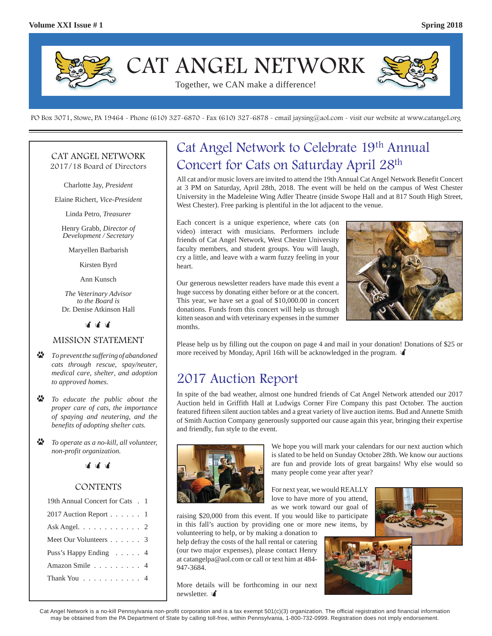

PO Box 3071, Stowe, PA 19464 - Phone (610) 327-6870 - Fax (610) 327-6878 - email jaysing@aol.com - visit our website at www.catangel.org

#### CAT ANGEL NETWORK 2017/18 Board of Directors

Charlotte Jay, *President*

Elaine Richert, *Vice-President*

Linda Petro, *Treasurer*

Henry Grabb, *Director of Development / Secretary*

Maryellen Barbarish

Kirsten Byrd

Ann Kunsch

*The Veterinary Advisor to the Board is*  Dr. Denise Atkinson Hall

หลักลักลั

#### MISSION STATEMENT

- $\ddot{\bullet}$  *To prevent the suffering of abandoned cats through rescue, spay/neuter, medical care, shelter, and adoption to approved homes.*
- D *To educate the public about the proper care of cats, the importance of spaying and neutering, and the benefits of adopting shelter cats.*
- D *To operate as a no-kill, all volunteer, non-profit organization.*



#### CONTENTS

| 19th Annual Concert for Cats . 1                 |
|--------------------------------------------------|
| 2017 Auction Report $\ldots$ 1                   |
| Ask Angel. $\ldots$ $\ldots$ $\ldots$ $\ldots$ 2 |
| Meet Our Volunteers 3                            |
| Puss's Happy Ending 4                            |
| Amazon Smile 4                                   |
| Thank You 4                                      |
|                                                  |

## Cat Angel Network to Celebrate 19th Annual Concert for Cats on Saturday April 28th

All cat and/or music lovers are invited to attend the 19th Annual Cat Angel Network Benefit Concert at 3 PM on Saturday, April 28th, 2018. The event will be held on the campus of West Chester University in the Madeleine Wing Adler Theatre (inside Swope Hall and at 817 South High Street, West Chester). Free parking is plentiful in the lot adjacent to the venue.

Each concert is a unique experience, where cats (on video) interact with musicians. Performers include friends of Cat Angel Network, West Chester University faculty members, and student groups. You will laugh, cry a little, and leave with a warm fuzzy feeling in your heart.

Our generous newsletter readers have made this event a huge success by donating either before or at the concert. This year, we have set a goal of \$10,000.00 in concert donations. Funds from this concert will help us through kitten season and with veterinary expenses in the summer months.



Please help us by filling out the coupon on page 4 and mail in your donation! Donations of \$25 or more received by Monday, April 16th will be acknowledged in the program.

## 2017 Auction Report

In spite of the bad weather, almost one hundred friends of Cat Angel Network attended our 2017 Auction held in Griffith Hall at Ludwigs Corner Fire Company this past October. The auction featured fifteen silent auction tables and a great variety of live auction items. Bud and Annette Smith of Smith Auction Company generously supported our cause again this year, bringing their expertise and friendly, fun style to the event.



We hope you will mark your calendars for our next auction which is slated to be held on Sunday October 28th. We know our auctions are fun and provide lots of great bargains! Why else would so many people come year after year?

For next year, we would REALLY love to have more of you attend, as we work toward our goal of

raising \$20,000 from this event. If you would like to participate in this fall's auction by providing one or more new items, by volunteering to help, or by making a donation to

help defray the costs of the hall rental or catering (our two major expenses), please contact Henry at catangelpa@aol.com or call or text him at 484- 947-3684.

More details will be forthcoming in our next newsletter. v





Cat Angel Network is a no-kill Pennsylvania non-profit corporation and is a tax exempt 501(c)(3) organization. The official registration and financial information may be obtained from the PA Department of State by calling toll-free, within Pennsylvania, 1-800-732-0999. Registration does not imply endorsement.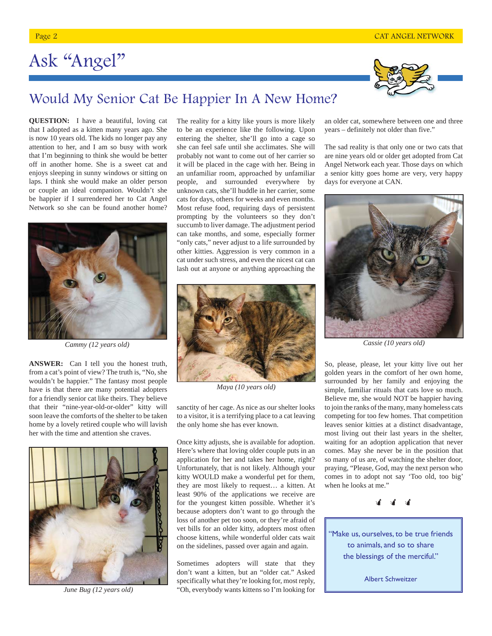# Ask "Angel"



## Would My Senior Cat Be Happier In A New Home?

**QUESTION:** I have a beautiful, loving cat that I adopted as a kitten many years ago. She is now 10 years old. The kids no longer pay any attention to her, and I am so busy with work that I'm beginning to think she would be better off in another home. She is a sweet cat and enjoys sleeping in sunny windows or sitting on laps. I think she would make an older person or couple an ideal companion. Wouldn't she be happier if I surrendered her to Cat Angel Network so she can be found another home?



**ANSWER:** Can I tell you the honest truth, from a cat's point of view? The truth is, "No, she wouldn't be happier." The fantasy most people have is that there are many potential adopters for a friendly senior cat like theirs. They believe that their "nine-year-old-or-older" kitty will soon leave the comforts of the shelter to be taken home by a lovely retired couple who will lavish her with the time and attention she craves.



*June Bug (12 years old)*

The reality for a kitty like yours is more likely to be an experience like the following. Upon entering the shelter, she'll go into a cage so she can feel safe until she acclimates. She will probably not want to come out of her carrier so it will be placed in the cage with her. Being in an unfamiliar room, approached by unfamiliar people, and surrounded everywhere by unknown cats, she'll huddle in her carrier, some cats for days, others for weeks and even months. Most refuse food, requiring days of persistent prompting by the volunteers so they don't succumb to liver damage. The adjustment period can take months, and some, especially former "only cats," never adjust to a life surrounded by other kitties. Aggression is very common in a cat under such stress, and even the nicest cat can lash out at anyone or anything approaching the



*Maya (10 years old)*

sanctity of her cage. As nice as our shelter looks to a visitor, it is a terrifying place to a cat leaving the only home she has ever known.

Once kitty adjusts, she is available for adoption. Here's where that loving older couple puts in an application for her and takes her home, right? Unfortunately, that is not likely. Although your kitty WOULD make a wonderful pet for them, they are most likely to request… a kitten. At least 90% of the applications we receive are for the youngest kitten possible. Whether it's because adopters don't want to go through the loss of another pet too soon, or they're afraid of vet bills for an older kitty, adopters most often choose kittens, while wonderful older cats wait on the sidelines, passed over again and again.

Sometimes adopters will state that they don't want a kitten, but an "older cat." Asked specifically what they're looking for, most reply, "Oh, everybody wants kittens so I'm looking for

an older cat, somewhere between one and three years – definitely not older than five."

The sad reality is that only one or two cats that are nine years old or older get adopted from Cat Angel Network each year. Those days on which a senior kitty goes home are very, very happy days for everyone at CAN.



So, please, please, let your kitty live out her golden years in the comfort of her own home, surrounded by her family and enjoying the simple, familiar rituals that cats love so much. Believe me, she would NOT be happier having to join the ranks of the many, many homeless cats competing for too few homes. That competition leaves senior kitties at a distinct disadvantage, most living out their last years in the shelter, waiting for an adoption application that never comes. May she never be in the position that so many of us are, of watching the shelter door, praying, "Please, God, may the next person who comes in to adopt not say 'Too old, too big' when he looks at me."



"Make us, ourselves, to be true friends to animals, and so to share the blessings of the merciful."

Albert Schweitzer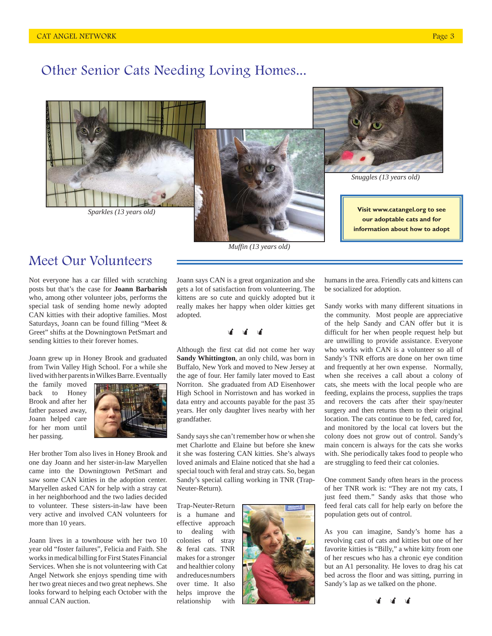## Other Senior Cats Needing Loving Homes...







*Snuggles (13 years old)*

**Visit www.catangel.org to see our adoptable cats and for information about how to adopt**

## Meet Our Volunteers

Not everyone has a car filled with scratching posts but that's the case for **Joann Barbarish** who, among other volunteer jobs, performs the special task of sending home newly adopted CAN kitties with their adoptive families. Most Saturdays, Joann can be found filling "Meet & Greet" shifts at the Downingtown PetSmart and sending kitties to their forever homes.

Joann grew up in Honey Brook and graduated from Twin Valley High School. For a while she lived with her parents in Wilkes Barre. Eventually

the family moved back to Honey Brook and after her father passed away, Joann helped care for her mom until her passing.



Her brother Tom also lives in Honey Brook and one day Joann and her sister-in-law Maryellen came into the Downingtown PetSmart and saw some CAN kitties in the adoption center. Maryellen asked CAN for help with a stray cat in her neighborhood and the two ladies decided to volunteer. These sisters-in-law have been very active and involved CAN volunteers for more than 10 years.

Joann lives in a townhouse with her two 10 year old "foster failures", Felicia and Faith. She works in medical billing for First States Financial Services. When she is not volunteering with Cat Angel Network she enjoys spending time with her two great nieces and two great nephews. She looks forward to helping each October with the annual CAN auction.

Joann says CAN is a great organization and she gets a lot of satisfaction from volunteering. The kittens are so cute and quickly adopted but it really makes her happy when older kitties get

#### भविषे अवै

adopted.

Although the first cat did not come her way **Sandy Whittington**, an only child, was born in Buffalo, New York and moved to New Jersey at the age of four. Her family later moved to East Norriton. She graduated from AD Eisenhower High School in Norristown and has worked in data entry and accounts payable for the past 35 years. Her only daughter lives nearby with her grandfather.

Sandy says she can't remember how or when she met Charlotte and Elaine but before she knew it she was fostering CAN kitties. She's always loved animals and Elaine noticed that she had a special touch with feral and stray cats. So, began Sandy's special calling working in TNR (Trap-Neuter-Return).

Trap-Neuter-Return is a humane and effective approach to dealing with colonies of stray & feral cats. TNR makes for a stronger and healthier colony and reduces numbers over time. It also helps improve the relationship with



humans in the area. Friendly cats and kittens can be socialized for adoption.

Sandy works with many different situations in the community. Most people are appreciative of the help Sandy and CAN offer but it is difficult for her when people request help but are unwilling to provide assistance. Everyone who works with CAN is a volunteer so all of Sandy's TNR efforts are done on her own time and frequently at her own expense. Normally, when she receives a call about a colony of cats, she meets with the local people who are feeding, explains the process, supplies the traps and recovers the cats after their spay/neuter surgery and then returns them to their original location. The cats continue to be fed, cared for, and monitored by the local cat lovers but the colony does not grow out of control. Sandy's main concern is always for the cats she works with. She periodically takes food to people who are struggling to feed their cat colonies.

One comment Sandy often hears in the process of her TNR work is: "They are not my cats, I just feed them." Sandy asks that those who feed feral cats call for help early on before the population gets out of control.

As you can imagine, Sandy's home has a revolving cast of cats and kitties but one of her favorite kitties is "Billy," a white kitty from one of her rescues who has a chronic eye condition but an A1 personality. He loves to drag his cat bed across the floor and was sitting, purring in Sandy's lap as we talked on the phone.

था था था